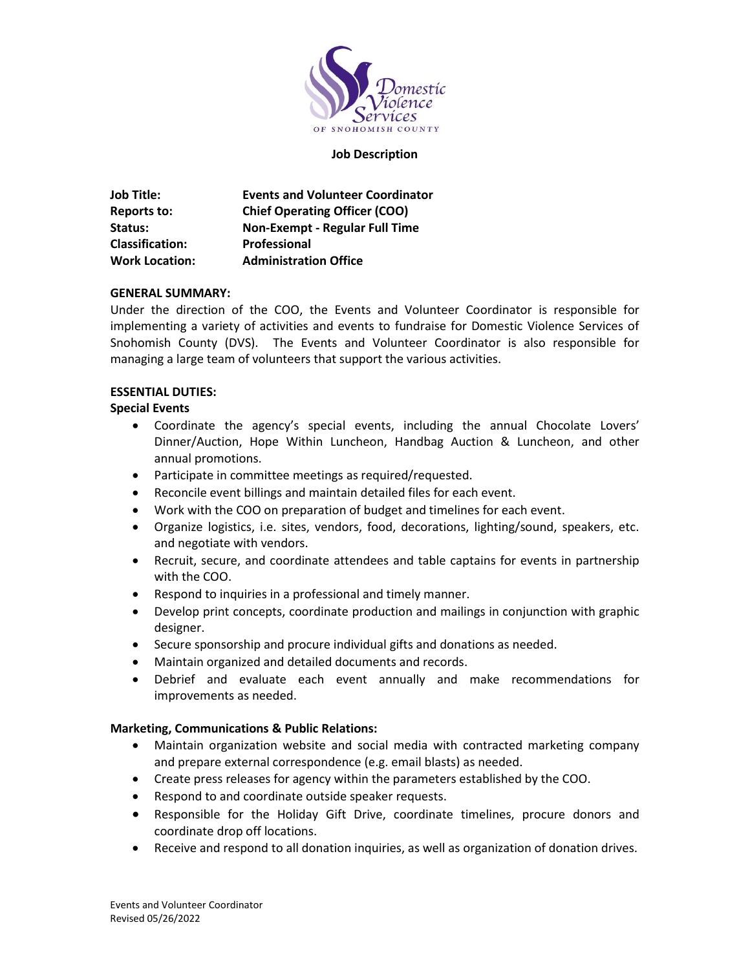

#### **Job Description**

| <b>Job Title:</b>      | <b>Events and Volunteer Coordinator</b> |
|------------------------|-----------------------------------------|
| Reports to:            | <b>Chief Operating Officer (COO)</b>    |
| Status:                | <b>Non-Exempt - Regular Full Time</b>   |
| <b>Classification:</b> | <b>Professional</b>                     |
| <b>Work Location:</b>  | <b>Administration Office</b>            |

### **GENERAL SUMMARY:**

Under the direction of the COO, the Events and Volunteer Coordinator is responsible for implementing a variety of activities and events to fundraise for Domestic Violence Services of Snohomish County (DVS). The Events and Volunteer Coordinator is also responsible for managing a large team of volunteers that support the various activities.

### **ESSENTIAL DUTIES:**

### **Special Events**

- Coordinate the agency's special events, including the annual Chocolate Lovers' Dinner/Auction, Hope Within Luncheon, Handbag Auction & Luncheon, and other annual promotions.
- Participate in committee meetings as required/requested.
- Reconcile event billings and maintain detailed files for each event.
- Work with the COO on preparation of budget and timelines for each event.
- Organize logistics, i.e. sites, vendors, food, decorations, lighting/sound, speakers, etc. and negotiate with vendors.
- Recruit, secure, and coordinate attendees and table captains for events in partnership with the COO.
- Respond to inquiries in a professional and timely manner.
- Develop print concepts, coordinate production and mailings in conjunction with graphic designer.
- Secure sponsorship and procure individual gifts and donations as needed.
- Maintain organized and detailed documents and records.
- Debrief and evaluate each event annually and make recommendations for improvements as needed.

### **Marketing, Communications & Public Relations:**

- Maintain organization website and social media with contracted marketing company and prepare external correspondence (e.g. email blasts) as needed.
- Create press releases for agency within the parameters established by the COO.
- Respond to and coordinate outside speaker requests.
- Responsible for the Holiday Gift Drive, coordinate timelines, procure donors and coordinate drop off locations.
- Receive and respond to all donation inquiries, as well as organization of donation drives.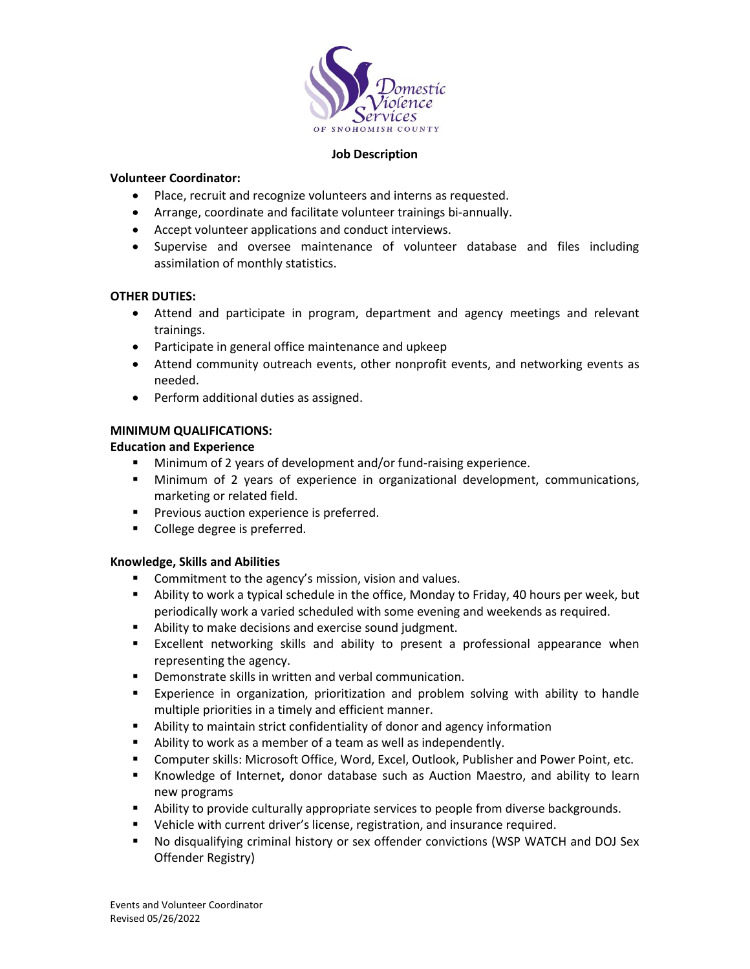

### **Job Description**

### **Volunteer Coordinator:**

- Place, recruit and recognize volunteers and interns as requested.
- Arrange, coordinate and facilitate volunteer trainings bi-annually.
- Accept volunteer applications and conduct interviews.
- Supervise and oversee maintenance of volunteer database and files including assimilation of monthly statistics.

# **OTHER DUTIES:**

- Attend and participate in program, department and agency meetings and relevant trainings.
- Participate in general office maintenance and upkeep
- Attend community outreach events, other nonprofit events, and networking events as needed.
- Perform additional duties as assigned.

# **MINIMUM QUALIFICATIONS:**

# **Education and Experience**

- Minimum of 2 years of development and/or fund-raising experience.
- **■** Minimum of 2 years of experience in organizational development, communications, marketing or related field.
- **•** Previous auction experience is preferred.
- College degree is preferred.

# **Knowledge, Skills and Abilities**

- Commitment to the agency's mission, vision and values.
- Ability to work a typical schedule in the office, Monday to Friday, 40 hours per week, but periodically work a varied scheduled with some evening and weekends as required.
- Ability to make decisions and exercise sound judgment.
- **EXCELLENT IN EXCELLENT IS EXAMOG SHOW THE SEXT ASSESS** EXCELLENT EXCELLENT EXCELLENT EXCELLENT representing the agency.
- Demonstrate skills in written and verbal communication.
- **Experience in organization, prioritization and problem solving with ability to handle** multiple priorities in a timely and efficient manner.
- Ability to maintain strict confidentiality of donor and agency information
- Ability to work as a member of a team as well as independently.
- **E** Computer skills: Microsoft Office, Word, Excel, Outlook, Publisher and Power Point, etc.
- Knowledge of Internet**,** donor database such as Auction Maestro, and ability to learn new programs
- **E** Ability to provide culturally appropriate services to people from diverse backgrounds.
- Vehicle with current driver's license, registration, and insurance required.
- No disqualifying criminal history or sex offender convictions (WSP WATCH and DOJ Sex Offender Registry)